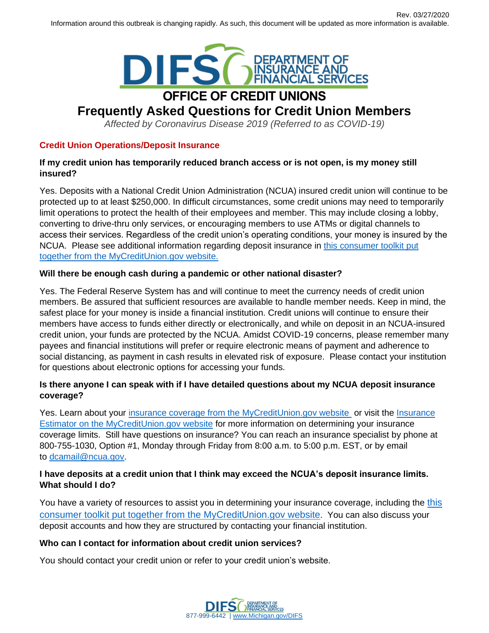

# **Frequently Asked Questions for Credit Union Members**

*Affected by Coronavirus Disease 2019 (Referred to as COVID-19)*

# **Credit Union Operations/Deposit Insurance**

# **If my credit union has temporarily reduced branch access or is not open, is my money still insured?**

Yes. Deposits with a National Credit Union Administration (NCUA) insured credit union will continue to be protected up to at least \$250,000. In difficult circumstances, some credit unions may need to temporarily limit operations to protect the health of their employees and member. This may include closing a lobby, converting to drive-thru only services, or encouraging members to use ATMs or digital channels to access their services. Regardless of the credit union's operating conditions, your money is insured by the NCUA. Please see additional information regarding deposit insurance in this consumer toolkit put [together from the MyCreditUnion.gov website.](https://www.mycreditunion.gov/share-insurance)

# **Will there be enough cash during a pandemic or other national disaster?**

Yes. The Federal Reserve System has and will continue to meet the currency needs of credit union members. Be assured that sufficient resources are available to handle member needs. Keep in mind, the safest place for your money is inside a financial institution. Credit unions will continue to ensure their members have access to funds either directly or electronically, and while on deposit in an NCUA-insured credit union, your funds are protected by the NCUA. Amidst COVID-19 concerns, please remember many payees and financial institutions will prefer or require electronic means of payment and adherence to social distancing, as payment in cash results in elevated risk of exposure. Please contact your institution for questions about electronic options for accessing your funds.

# **Is there anyone I can speak with if I have detailed questions about my NCUA deposit insurance coverage?**

Yes. Learn about your [insurance coverage from the MyCreditUnion.gov website](https://www.mycreditunion.gov/share-insurance) or visit the Insurance [Estimator on the MyCreditUnion.gov website](https://www.mycreditunion.gov/share-insurance-estimator-home) for more information on determining your insurance coverage limits. Still have questions on insurance? You can reach an insurance specialist by phone at 800-755-1030, Option #1, Monday through Friday from 8:00 a.m. to 5:00 p.m. EST, or by email to [dcamail@ncua.gov.](mailto:dcamail@ncua.gov)

# **I have deposits at a credit union that I think may exceed the NCUA's deposit insurance limits. What should I do?**

You have a variety of resources to assist you in determining your insurance coverage, including the this [consumer toolkit put together from the MyCreditUnion.gov website](https://www.mycreditunion.gov/share-insurance). You can also discuss your deposit accounts and how they are structured by contacting your financial institution.

# **Who can I contact for information about credit union services?**

You should contact your credit union or refer to your credit union's website.

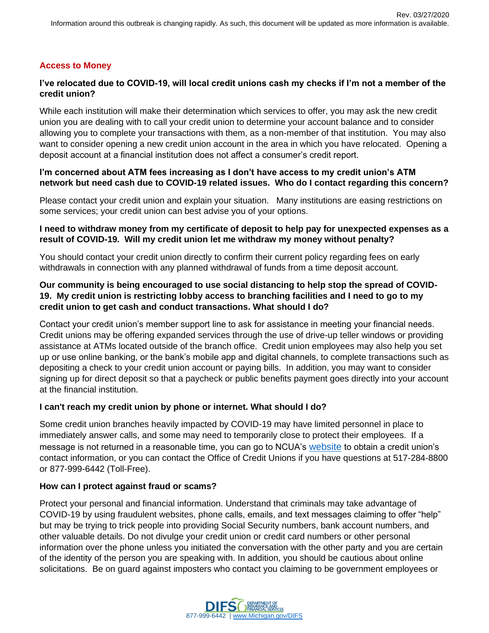## **Access to Money**

## **I've relocated due to COVID-19, will local credit unions cash my checks if I'm not a member of the credit union?**

While each institution will make their determination which services to offer, you may ask the new credit union you are dealing with to call your credit union to determine your account balance and to consider allowing you to complete your transactions with them, as a non-member of that institution. You may also want to consider opening a new credit union account in the area in which you have relocated. Opening a deposit account at a financial institution does not affect a consumer's credit report.

#### **I'm concerned about ATM fees increasing as I don't have access to my credit union's ATM network but need cash due to COVID-19 related issues. Who do I contact regarding this concern?**

Please contact your credit union and explain your situation. Many institutions are easing restrictions on some services; your credit union can best advise you of your options.

#### **I need to withdraw money from my certificate of deposit to help pay for unexpected expenses as a result of COVID-19. Will my credit union let me withdraw my money without penalty?**

You should contact your credit union directly to confirm their current policy regarding fees on early withdrawals in connection with any planned withdrawal of funds from a time deposit account.

## **Our community is being encouraged to use social distancing to help stop the spread of COVID-19. My credit union is restricting lobby access to branching facilities and I need to go to my credit union to get cash and conduct transactions. What should I do?**

Contact your credit union's member support line to ask for assistance in meeting your financial needs. Credit unions may be offering expanded services through the use of drive-up teller windows or providing assistance at ATMs located outside of the branch office. Credit union employees may also help you set up or use online banking, or the bank's mobile app and digital channels, to complete transactions such as depositing a check to your credit union account or paying bills. In addition, you may want to consider signing up for direct deposit so that a paycheck or public benefits payment goes directly into your account at the financial institution.

#### **I can't reach my credit union by phone or internet. What should I do?**

Some credit union branches heavily impacted by COVID-19 may have limited personnel in place to immediately answer calls, and some may need to temporarily close to protect their employees. If a message is not returned in a reasonable time, you can go to NCUA's [website](https://mapping.ncua.gov/ResearchCreditUnion.aspx) to obtain a credit union's contact information, or you can contact the Office of Credit Unions if you have questions at 517-284-8800 or 877-999-6442 (Toll-Free).

#### **How can I protect against fraud or scams?**

Protect your personal and financial information. Understand that criminals may take advantage of COVID-19 by using fraudulent websites, phone calls, emails, and text messages claiming to offer "help" but may be trying to trick people into providing Social Security numbers, bank account numbers, and other valuable details. Do not divulge your credit union or credit card numbers or other personal information over the phone unless you initiated the conversation with the other party and you are certain of the identity of the person you are speaking with. In addition, you should be cautious about online solicitations. Be on guard against imposters who contact you claiming to be government employees or

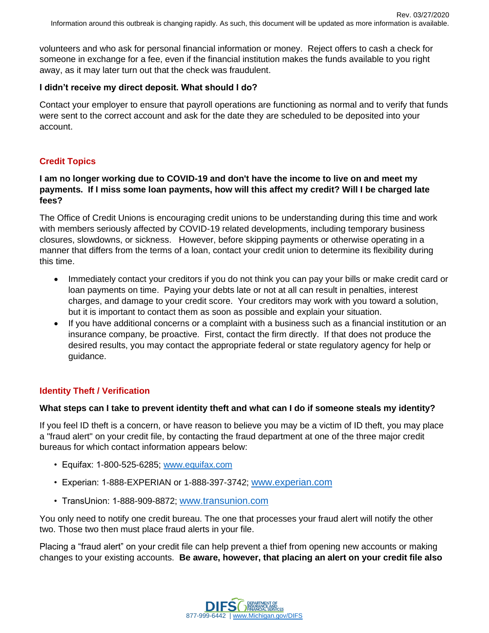volunteers and who ask for personal financial information or money. Reject offers to cash a check for someone in exchange for a fee, even if the financial institution makes the funds available to you right away, as it may later turn out that the check was fraudulent.

## **I didn't receive my direct deposit. What should I do?**

Contact your employer to ensure that payroll operations are functioning as normal and to verify that funds were sent to the correct account and ask for the date they are scheduled to be deposited into your account.

# **Credit Topics**

## **I am no longer working due to COVID-19 and don't have the income to live on and meet my payments. If I miss some loan payments, how will this affect my credit? Will I be charged late fees?**

The Office of Credit Unions is encouraging credit unions to be understanding during this time and work with members seriously affected by COVID-19 related developments, including temporary business closures, slowdowns, or sickness. However, before skipping payments or otherwise operating in a manner that differs from the terms of a loan, contact your credit union to determine its flexibility during this time.

- Immediately contact your creditors if you do not think you can pay your bills or make credit card or loan payments on time. Paying your debts late or not at all can result in penalties, interest charges, and damage to your credit score. Your creditors may work with you toward a solution, but it is important to contact them as soon as possible and explain your situation.
- If you have additional concerns or a complaint with a business such as a financial institution or an insurance company, be proactive. First, contact the firm directly. If that does not produce the desired results, you may contact the appropriate federal or state regulatory agency for help or guidance.

# **Identity Theft / Verification**

# **What steps can I take to prevent identity theft and what can I do if someone steals my identity?**

If you feel ID theft is a concern, or have reason to believe you may be a victim of ID theft, you may place a "fraud alert" on your credit file, by contacting the fraud department at one of the three major credit bureaus for which contact information appears below:

- Equifax: 1-800-525-6285; [www.equifax.com](http://www.equifax.com/)
- Experian: 1-888-EXPERIAN or 1-888-397-3742; [www.experian.com](http://www.experian.com/)
- TransUnion: 1-888-909-8872; [www.transunion.com](http://www.transunion.com/)

You only need to notify one credit bureau. The one that processes your fraud alert will notify the other two. Those two then must place fraud alerts in your file.

Placing a "fraud alert" on your credit file can help prevent a thief from opening new accounts or making changes to your existing accounts. **Be aware, however, that placing an alert on your credit file also** 

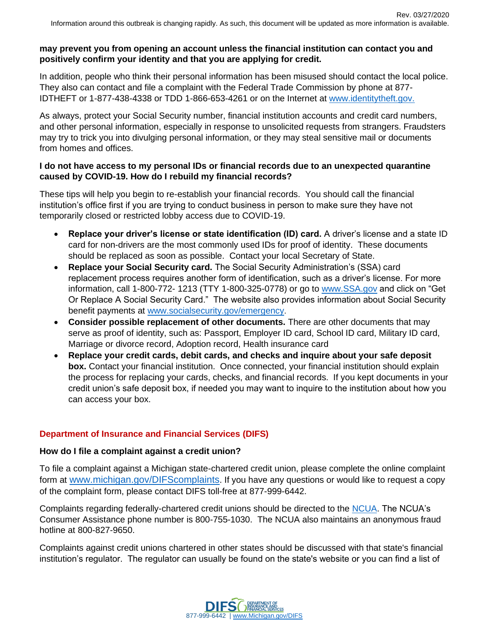## **may prevent you from opening an account unless the financial institution can contact you and positively confirm your identity and that you are applying for credit.**

In addition, people who think their personal information has been misused should contact the local police. They also can contact and file a complaint with the Federal Trade Commission by phone at 877- IDTHEFT or 1-877-438-4338 or TDD 1-866-653-4261 or on the Internet at [www.identitytheft.gov.](https://www.identitytheft.gov/)

As always, protect your Social Security number, financial institution accounts and credit card numbers, and other personal information, especially in response to unsolicited requests from strangers. Fraudsters may try to trick you into divulging personal information, or they may steal sensitive mail or documents from homes and offices.

## **I do not have access to my personal IDs or financial records due to an unexpected quarantine caused by COVID-19. How do I rebuild my financial records?**

These tips will help you begin to re-establish your financial records. You should call the financial institution's office first if you are trying to conduct business in person to make sure they have not temporarily closed or restricted lobby access due to COVID-19.

- **Replace your driver's license or state identification (ID) card.** A driver's license and a state ID card for non-drivers are the most commonly used IDs for proof of identity. These documents should be replaced as soon as possible. Contact your local Secretary of State.
- **Replace your Social Security card.** The Social Security Administration's (SSA) card replacement process requires another form of identification, such as a driver's license. For more information, call 1-800-772- 1213 (TTY 1-800-325-0778) or go to [www.SSA.gov](https://www.ssa.gov/) and click on "Get Or Replace A Social Security Card." The website also provides information about Social Security benefit payments at [www.socialsecurity.gov/emergency](https://www.ssa.gov/agency/emergency/).
- **Consider possible replacement of other documents.** There are other documents that may serve as proof of identity, such as: Passport, Employer ID card, School ID card, Military ID card, Marriage or divorce record, Adoption record, Health insurance card
- **Replace your credit cards, debit cards, and checks and inquire about your safe deposit box.** Contact your financial institution. Once connected, your financial institution should explain the process for replacing your cards, checks, and financial records. If you kept documents in your credit union's safe deposit box, if needed you may want to inquire to the institution about how you can access your box.

# **Department of Insurance and Financial Services (DIFS)**

# **How do I file a complaint against a credit union?**

To file a complaint against a Michigan state-chartered credit union, please complete the online complaint form at [www.michigan.gov/DIFScomplaints](http://www.michigan.gov/DIFScomplaints). If you have any questions or would like to request a copy of the complaint form, please contact DIFS toll-free at 877-999-6442.

Complaints regarding federally-chartered credit unions should be directed to the [NCUA.](https://www.ncua.gov/) The NCUA's Consumer Assistance phone number is 800-755-1030. The NCUA also maintains an anonymous fraud hotline at 800-827-9650.

Complaints against credit unions chartered in other states should be discussed with that state's financial institution's regulator. The regulator can usually be found on the state's website or you can find a list of